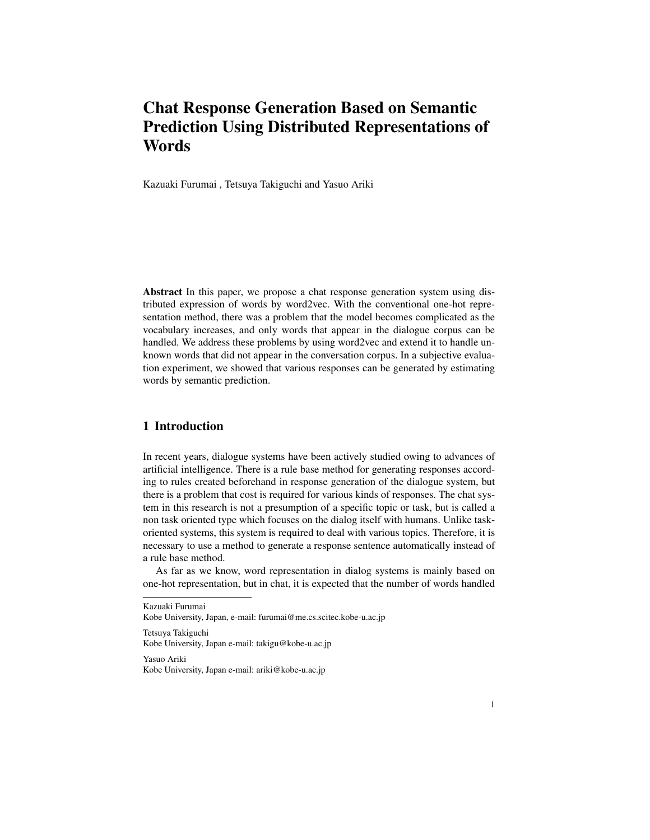# Chat Response Generation Based on Semantic Prediction Using Distributed Representations of **Words**

Kazuaki Furumai , Tetsuya Takiguchi and Yasuo Ariki

Abstract In this paper, we propose a chat response generation system using distributed expression of words by word2vec. With the conventional one-hot representation method, there was a problem that the model becomes complicated as the vocabulary increases, and only words that appear in the dialogue corpus can be handled. We address these problems by using word2vec and extend it to handle unknown words that did not appear in the conversation corpus. In a subjective evaluation experiment, we showed that various responses can be generated by estimating words by semantic prediction.

# 1 Introduction

In recent years, dialogue systems have been actively studied owing to advances of artificial intelligence. There is a rule base method for generating responses according to rules created beforehand in response generation of the dialogue system, but there is a problem that cost is required for various kinds of responses. The chat system in this research is not a presumption of a specific topic or task, but is called a non task oriented type which focuses on the dialog itself with humans. Unlike taskoriented systems, this system is required to deal with various topics. Therefore, it is necessary to use a method to generate a response sentence automatically instead of a rule base method.

As far as we know, word representation in dialog systems is mainly based on one-hot representation, but in chat, it is expected that the number of words handled

Kazuaki Furumai

Kobe University, Japan, e-mail: furumai@me.cs.scitec.kobe-u.ac.jp

Tetsuya Takiguchi Kobe University, Japan e-mail: takigu@kobe-u.ac.jp

Yasuo Ariki Kobe University, Japan e-mail: ariki@kobe-u.ac.jp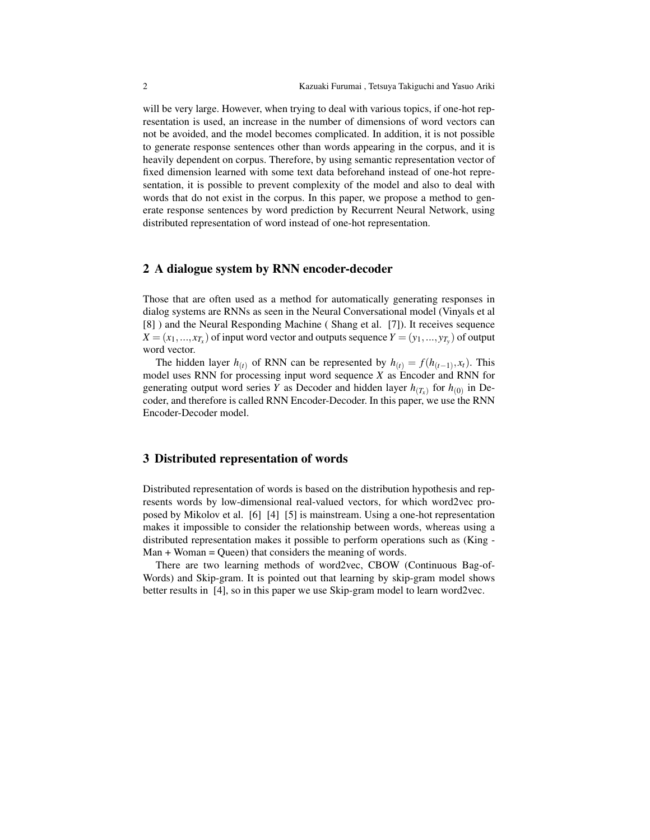will be very large. However, when trying to deal with various topics, if one-hot representation is used, an increase in the number of dimensions of word vectors can not be avoided, and the model becomes complicated. In addition, it is not possible to generate response sentences other than words appearing in the corpus, and it is heavily dependent on corpus. Therefore, by using semantic representation vector of fixed dimension learned with some text data beforehand instead of one-hot representation, it is possible to prevent complexity of the model and also to deal with words that do not exist in the corpus. In this paper, we propose a method to generate response sentences by word prediction by Recurrent Neural Network, using distributed representation of word instead of one-hot representation.

### 2 A dialogue system by RNN encoder-decoder

Those that are often used as a method for automatically generating responses in dialog systems are RNNs as seen in the Neural Conversational model (Vinyals et al [8] ) and the Neural Responding Machine ( Shang et al. [7]). It receives sequence  $X = (x_1, \ldots, x_{T_x})$  of input word vector and outputs sequence  $Y = (y_1, \ldots, y_{T_y})$  of output word vector.

The hidden layer *h*<sub>(*t*)</sub> of RNN can be represented by  $h_{(t)} = f(h_{(t-1)}, x_t)$ . This model uses RNN for processing input word sequence *X* as Encoder and RNN for generating output word series *Y* as Decoder and hidden layer  $h_{(T_x)}$  for  $h_{(0)}$  in Decoder, and therefore is called RNN Encoder-Decoder. In this paper, we use the RNN Encoder-Decoder model.

#### 3 Distributed representation of words

Distributed representation of words is based on the distribution hypothesis and represents words by low-dimensional real-valued vectors, for which word2vec proposed by Mikolov et al. [6] [4] [5] is mainstream. Using a one-hot representation makes it impossible to consider the relationship between words, whereas using a distributed representation makes it possible to perform operations such as (King -  $Man + Woman = Queen)$  that considers the meaning of words.

There are two learning methods of word2vec, CBOW (Continuous Bag-of-Words) and Skip-gram. It is pointed out that learning by skip-gram model shows better results in [4], so in this paper we use Skip-gram model to learn word2vec.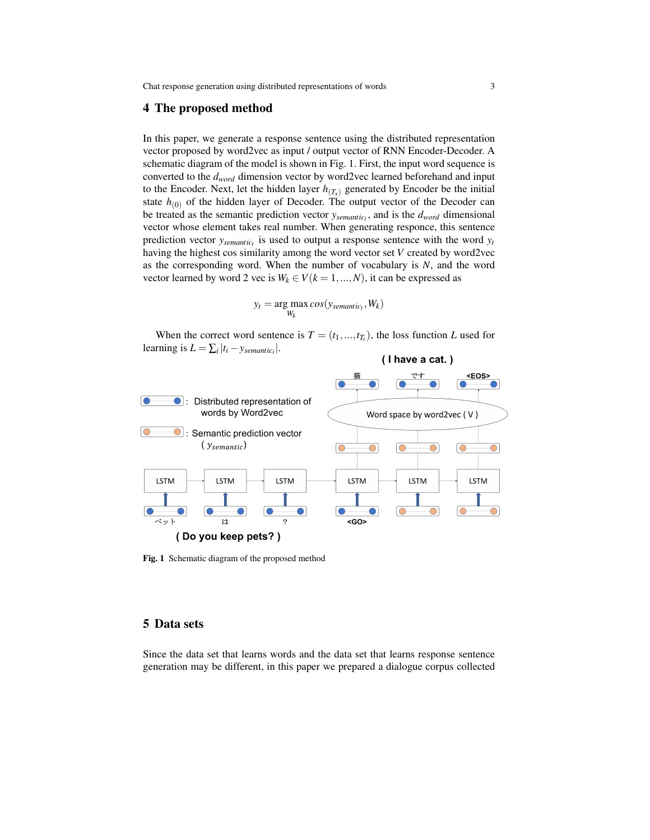Chat response generation using distributed representations of words 3

#### 4 The proposed method

In this paper, we generate a response sentence using the distributed representation vector proposed by word2vec as input / output vector of RNN Encoder-Decoder. A schematic diagram of the model is shown in Fig. 1. First, the input word sequence is converted to the *dword* dimension vector by word2vec learned beforehand and input to the Encoder. Next, let the hidden layer  $h(T)$  generated by Encoder be the initial state  $h_{(0)}$  of the hidden layer of Decoder. The output vector of the Decoder can be treated as the semantic prediction vector *ysemantic<sup>t</sup>* , and is the *dword* dimensional vector whose element takes real number. When generating responce, this sentence prediction vector *ysemantic<sup>t</sup>* is used to output a response sentence with the word *y<sup>t</sup>* having the highest cos similarity among the word vector set *V* created by word2vec as the corresponding word. When the number of vocabulary is *N*, and the word vector learned by word 2 vec is  $W_k \in V(k = 1, ..., N)$ , it can be expressed as

$$
y_t = \underset{W_k}{\arg \max} \, \cos(y_{semantic_t}, W_k)
$$

When the correct word sentence is  $T = (t_1, ..., t_T)$ , the loss function *L* used for learning is  $L = \sum_i |t_i - y_{semantic_i}|$ .



Fig. 1 Schematic diagram of the proposed method

# 5 Data sets

Since the data set that learns words and the data set that learns response sentence generation may be different, in this paper we prepared a dialogue corpus collected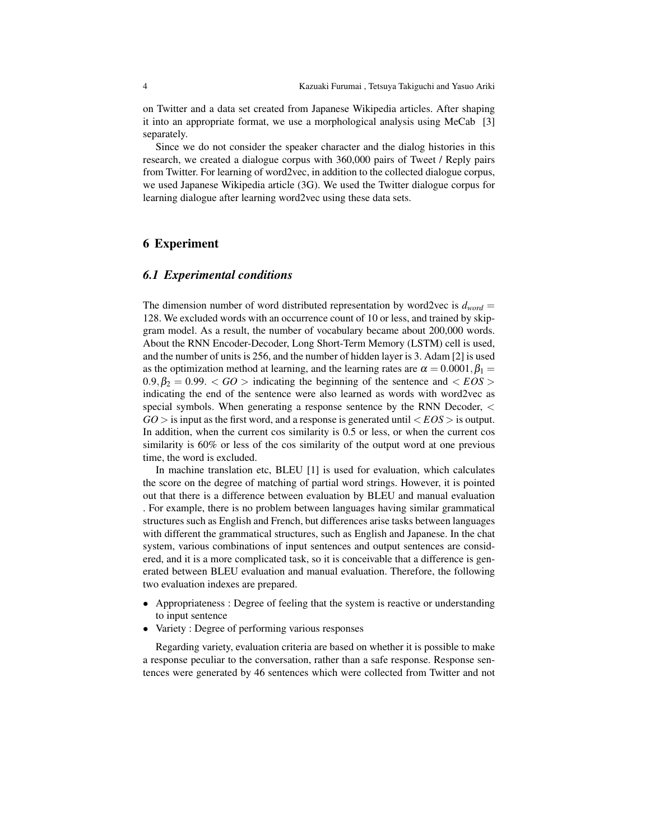on Twitter and a data set created from Japanese Wikipedia articles. After shaping it into an appropriate format, we use a morphological analysis using MeCab [3] separately.

Since we do not consider the speaker character and the dialog histories in this research, we created a dialogue corpus with 360,000 pairs of Tweet / Reply pairs from Twitter. For learning of word2vec, in addition to the collected dialogue corpus, we used Japanese Wikipedia article (3G). We used the Twitter dialogue corpus for learning dialogue after learning word2vec using these data sets.

## 6 Experiment

### *6.1 Experimental conditions*

The dimension number of word distributed representation by word2vec is  $d_{word}$  = 128. We excluded words with an occurrence count of 10 or less, and trained by skipgram model. As a result, the number of vocabulary became about 200,000 words. About the RNN Encoder-Decoder, Long Short-Term Memory (LSTM) cell is used, and the number of units is 256, and the number of hidden layer is 3. Adam [2] is used as the optimization method at learning, and the learning rates are  $\alpha = 0.0001$ ,  $\beta_1 =$  $0.9, \beta_2 = 0.99$ .  $\lt GO$  > indicating the beginning of the sentence and  $\lt EOS$  > indicating the end of the sentence were also learned as words with word2vec as special symbols. When generating a response sentence by the RNN Decoder, *<*  $GO >$  is input as the first word, and a response is generated until  $\langle EOS \rangle$  is output. In addition, when the current cos similarity is 0.5 or less, or when the current cos similarity is 60% or less of the cos similarity of the output word at one previous time, the word is excluded.

In machine translation etc, BLEU [1] is used for evaluation, which calculates the score on the degree of matching of partial word strings. However, it is pointed out that there is a difference between evaluation by BLEU and manual evaluation . For example, there is no problem between languages having similar grammatical structures such as English and French, but differences arise tasks between languages with different the grammatical structures, such as English and Japanese. In the chat system, various combinations of input sentences and output sentences are considered, and it is a more complicated task, so it is conceivable that a difference is generated between BLEU evaluation and manual evaluation. Therefore, the following two evaluation indexes are prepared.

- *•* Appropriateness : Degree of feeling that the system is reactive or understanding to input sentence
- *•* Variety : Degree of performing various responses

Regarding variety, evaluation criteria are based on whether it is possible to make a response peculiar to the conversation, rather than a safe response. Response sentences were generated by 46 sentences which were collected from Twitter and not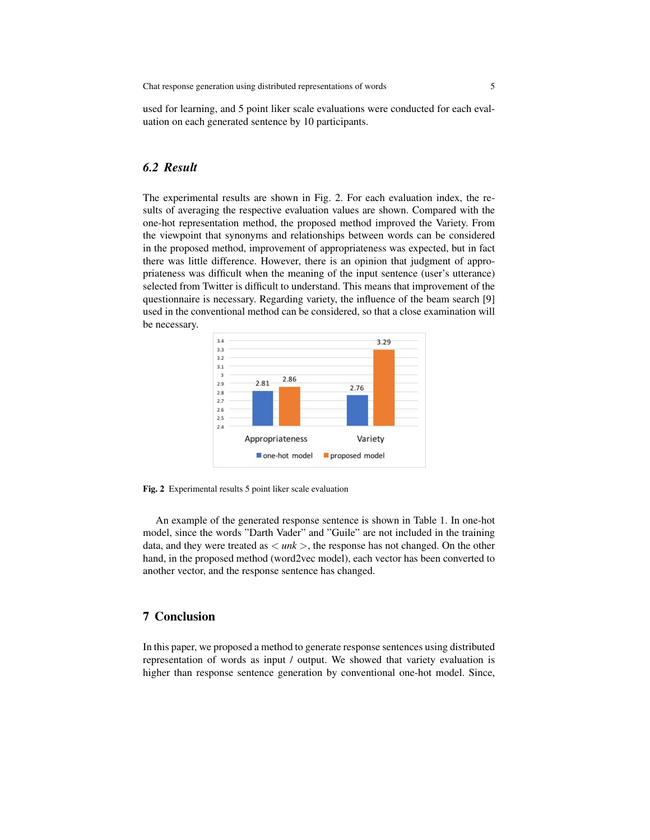used for learning, and 5 point liker scale evaluations were conducted for each evaluation on each generated sentence by 10 participants.

# *6.2 Result*

The experimental results are shown in Fig. 2. For each evaluation index, the results of averaging the respective evaluation values are shown. Compared with the one-hot representation method, the proposed method improved the Variety. From the viewpoint that synonyms and relationships between words can be considered in the proposed method, improvement of appropriateness was expected, but in fact there was little difference. However, there is an opinion that judgment of appropriateness was difficult when the meaning of the input sentence (user's utterance) selected from Twitter is difficult to understand. This means that improvement of the questionnaire is necessary. Regarding variety, the influence of the beam search [9] used in the conventional method can be considered, so that a close examination will be necessary.



Fig. 2 Experimental results 5 point liker scale evaluation

An example of the generated response sentence is shown in Table 1. In one-hot model, since the words "Darth Vader" and "Guile" are not included in the training data, and they were treated as *< unk >*, the response has not changed. On the other hand, in the proposed method (word2vec model), each vector has been converted to another vector, and the response sentence has changed.

#### 7 Conclusion

In this paper, we proposed a method to generate response sentences using distributed representation of words as input / output. We showed that variety evaluation is higher than response sentence generation by conventional one-hot model. Since,